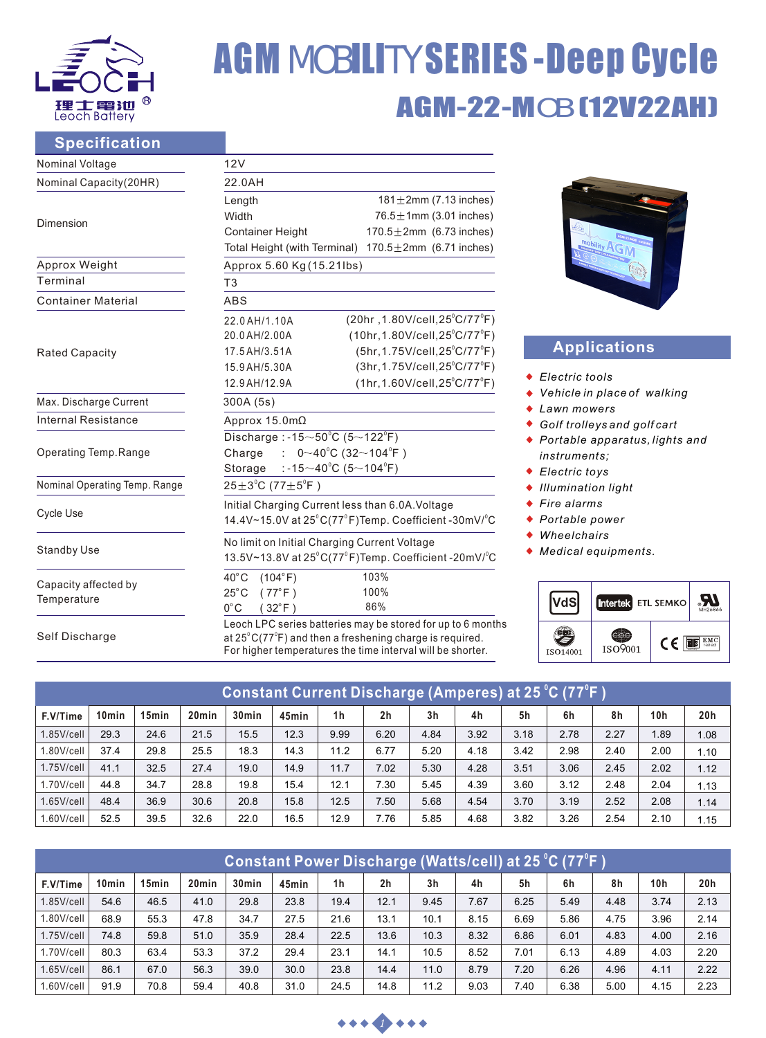

# AGM-22-MOB (12V22AH) AGM MOBILITY SERIES -Deep Cycle

## **Specification**

| Nominal Voltage                     | 12V                                                                                                                                                                                                       |  |  |  |  |  |  |  |  |
|-------------------------------------|-----------------------------------------------------------------------------------------------------------------------------------------------------------------------------------------------------------|--|--|--|--|--|--|--|--|
| Nominal Capacity(20HR)              | 22.0AH                                                                                                                                                                                                    |  |  |  |  |  |  |  |  |
|                                     | 181 $\pm$ 2mm (7.13 inches)<br>Length                                                                                                                                                                     |  |  |  |  |  |  |  |  |
| Dimension                           | Width<br>76.5 $\pm$ 1mm (3.01 inches)                                                                                                                                                                     |  |  |  |  |  |  |  |  |
|                                     | $170.5 \pm 2$ mm (6.73 inches)<br><b>Container Height</b>                                                                                                                                                 |  |  |  |  |  |  |  |  |
|                                     | 170.5 $\pm$ 2mm (6.71 inches)<br>Total Height (with Terminal)                                                                                                                                             |  |  |  |  |  |  |  |  |
| Approx Weight                       | Approx 5.60 Kg (15.21lbs)                                                                                                                                                                                 |  |  |  |  |  |  |  |  |
| Terminal                            | T <sub>3</sub>                                                                                                                                                                                            |  |  |  |  |  |  |  |  |
| <b>Container Material</b>           | ABS                                                                                                                                                                                                       |  |  |  |  |  |  |  |  |
|                                     | $(20hr, 1.80V/cell, 25^{\circ}C/77^{\circ}F)$<br>22.0 AH/1.10A                                                                                                                                            |  |  |  |  |  |  |  |  |
|                                     | $(10hr, 1.80V/cell, 25^{\circ}C/77^{\circ}F)$<br>20.0 AH/2.00A                                                                                                                                            |  |  |  |  |  |  |  |  |
| <b>Rated Capacity</b>               | $(5hr, 1.75V/cell, 25^{\circ}C/77^{\circ}F)$<br>17.5 AH/3.51A                                                                                                                                             |  |  |  |  |  |  |  |  |
|                                     | $(3hr, 1.75V/cell, 25^{\circ}C/77^{\circ}F)$<br>15.9 AH/5.30A                                                                                                                                             |  |  |  |  |  |  |  |  |
|                                     | $(1hr, 1.60V/cell, 25^{\circ}C/77^{\circ}F)$<br>12.9 AH/12.9A                                                                                                                                             |  |  |  |  |  |  |  |  |
| Max. Discharge Current              | 300A (5s)                                                                                                                                                                                                 |  |  |  |  |  |  |  |  |
| Internal Resistance                 | Approx 15.0mΩ                                                                                                                                                                                             |  |  |  |  |  |  |  |  |
|                                     | Discharge: -15 $\sim$ 50 $^{\circ}$ C (5 $\sim$ 122 $^{\circ}$ F)                                                                                                                                         |  |  |  |  |  |  |  |  |
| Operating Temp.Range                | $0 \sim 40^{\circ}$ C (32 $\sim$ 104 $^{\circ}$ F)<br>Charge<br>÷.                                                                                                                                        |  |  |  |  |  |  |  |  |
|                                     | : -15 $\sim$ 40°C (5 $\sim$ 104°F)<br>Storage                                                                                                                                                             |  |  |  |  |  |  |  |  |
| Nominal Operating Temp. Range       | $25 \pm 3^{\circ}$ C (77 $\pm 5^{\circ}$ F)                                                                                                                                                               |  |  |  |  |  |  |  |  |
|                                     | Initial Charging Current less than 6.0A. Voltage                                                                                                                                                          |  |  |  |  |  |  |  |  |
| Cycle Use                           | 14.4V~15.0V at $25^{\circ}$ C(77 $^{\circ}$ F)Temp. Coefficient -30mV/ $^{\circ}$ C                                                                                                                       |  |  |  |  |  |  |  |  |
|                                     | No limit on Initial Charging Current Voltage                                                                                                                                                              |  |  |  |  |  |  |  |  |
| <b>Standby Use</b>                  | 13.5V~13.8V at $25^{\circ}$ C(77 $^{\circ}$ F)Temp. Coefficient -20mV/ $^{\circ}$ C                                                                                                                       |  |  |  |  |  |  |  |  |
|                                     | $40^{\circ}$ C<br>(104°F)<br>103%                                                                                                                                                                         |  |  |  |  |  |  |  |  |
| Capacity affected by<br>Temperature | 100%<br>$(77^{\circ}F)$<br>$25^{\circ}$ C                                                                                                                                                                 |  |  |  |  |  |  |  |  |
|                                     | 86%<br>$(32^{\circ}F)$<br>$0^{\circ}$ C                                                                                                                                                                   |  |  |  |  |  |  |  |  |
| Self Discharge                      | Leoch LPC series batteries may be stored for up to 6 months<br>at $25^{\circ}$ C(77 $^{\circ}$ F) and then a freshening charge is required.<br>For higher temperatures the time interval will be shorter. |  |  |  |  |  |  |  |  |



# **Applications**

- ◆ Electric tools
- *Vehicle in place of walking*
- *Lawn mowers*
- *Golf trolleys and golf cart*
- *Portable apparatus, lights and instruments;*
- *Electric toys*
- *Illumination light*
- *Fire alarms*
- *Portable power*
- *Wheelchairs*
- *Medical equipments.*



| <u> Constant Current Discharge (Amperes) at 25 °C (77°F )</u> |       |                   |                   |                   |       |                |                |                |      |      |      |      |      |      |
|---------------------------------------------------------------|-------|-------------------|-------------------|-------------------|-------|----------------|----------------|----------------|------|------|------|------|------|------|
| F.V/Time                                                      | 10min | 15 <sub>min</sub> | 20 <sub>min</sub> | 30 <sub>min</sub> | 45min | 1 <sub>h</sub> | 2 <sub>h</sub> | 3 <sub>h</sub> | 4h   | 5h   | 6h   | 8h   | 10h  | 20h  |
| $1.85$ V/cell                                                 | 29.3  | 24.6              | 21.5              | 15.5              | 12.3  | 9.99           | 6.20           | 4.84           | 3.92 | 3.18 | 2.78 | 2.27 | .89  | 1.08 |
| 1.80V/cell                                                    | 37.4  | 29.8              | 25.5              | 18.3              | 14.3  | 11.2           | 6.77           | 5.20           | 4.18 | 3.42 | 2.98 | 2.40 | 2.00 | 1.10 |
| $1.75$ V/cell                                                 | 41.1  | 32.5              | 27.4              | 19.0              | 14.9  | 11.7           | 7.02           | 5.30           | 4.28 | 3.51 | 3.06 | 2.45 | 2.02 | 1.12 |
| $1.70$ V/cell                                                 | 44.8  | 34.7              | 28.8              | 19.8              | 15.4  | 12.1           | 7.30           | 5.45           | 4.39 | 3.60 | 3.12 | 2.48 | 2.04 | 1.13 |
| $1.65$ V/cell                                                 | 48.4  | 36.9              | 30.6              | 20.8              | 15.8  | 12.5           | 7.50           | 5.68           | 4.54 | 3.70 | 3.19 | 2.52 | 2.08 | 1.14 |
| 1.60V/cell                                                    | 52.5  | 39.5              | 32.6              | 22.0              | 16.5  | 12.9           | 7.76           | 5.85           | 4.68 | 3.82 | 3.26 | 2.54 | 2.10 | 1.15 |

| <u> Constant Power Discharge (Watts/cell) at 25 °C (77°F )</u> |       |                   |                   |                   |       |                |                |                |      |      |      |      |      |      |
|----------------------------------------------------------------|-------|-------------------|-------------------|-------------------|-------|----------------|----------------|----------------|------|------|------|------|------|------|
| F.V/Time                                                       | 10min | 15 <sub>min</sub> | 20 <sub>min</sub> | 30 <sub>min</sub> | 45min | 1 <sub>h</sub> | 2 <sub>h</sub> | 3 <sub>h</sub> | 4h   | 5h   | 6h   | 8h   | 10h  | 20h  |
| $1.85$ V/cell                                                  | 54.6  | 46.5              | 41.0              | 29.8              | 23.8  | 19.4           | 12.1           | 9.45           | 7.67 | 6.25 | 5.49 | 4.48 | 3.74 | 2.13 |
| $1.80$ V/cell                                                  | 68.9  | 55.3              | 47.8              | 34.7              | 27.5  | 21.6           | 13.1           | 10.1           | 8.15 | 6.69 | 5.86 | 4.75 | 3.96 | 2.14 |
| $1.75$ V/cell                                                  | 74.8  | 59.8              | 51.0              | 35.9              | 28.4  | 22.5           | 13.6           | 10.3           | 8.32 | 6.86 | 6.01 | 4.83 | 4.00 | 2.16 |
| $1.70$ V/cell                                                  | 80.3  | 63.4              | 53.3              | 37.2              | 29.4  | 23.1           | 14.1           | 10.5           | 8.52 | 7.01 | 6.13 | 4.89 | 4.03 | 2.20 |
| $1.65$ V/cell                                                  | 86.1  | 67.0              | 56.3              | 39.0              | 30.0  | 23.8           | 14.4           | 11.0           | 8.79 | 7.20 | 6.26 | 4.96 | 4.11 | 2.22 |
| 1.60V/cell                                                     | 91.9  | 70.8              | 59.4              | 40.8              | 31.0  | 24.5           | 14.8           | 11.2           | 9.03 | 7.40 | 6.38 | 5.00 | 4.15 | 2.23 |